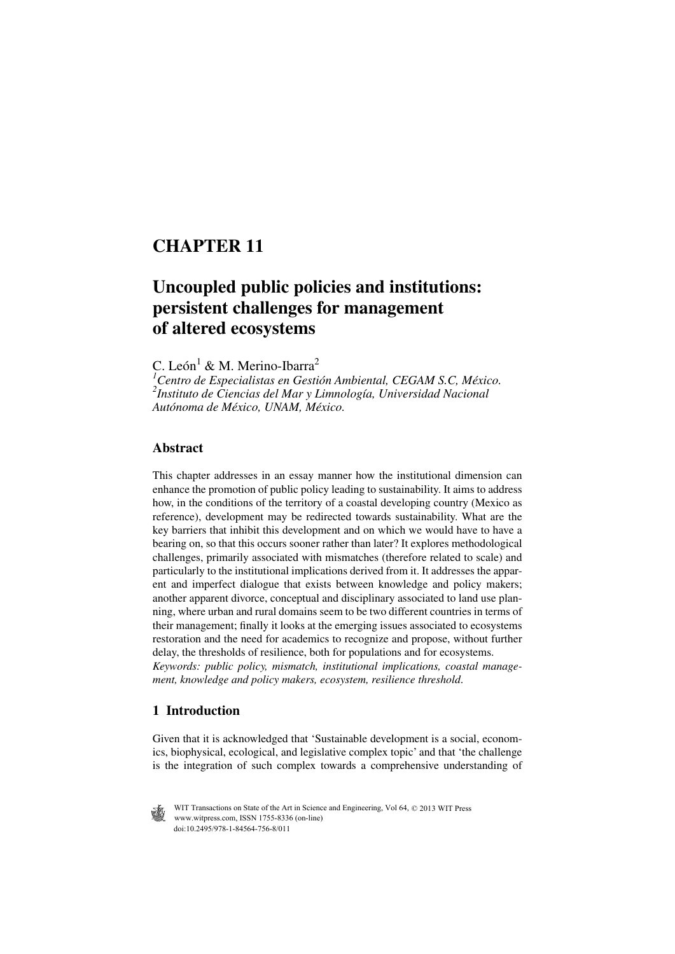# **CHAPTER 11**

## **Uncoupled public policies and institutions: persistent challenges for management of altered ecosystems**

C. León<sup>1</sup> & M. Merino-Ibarra<sup>2</sup>

*1 Centro de Especialistas en Gestión Ambiental, CEGAM S.C, México. 2 Instituto de Ciencias del Mar y Limnología, Universidad Nacional Autónoma de México, UNAM, México.*

#### **Abstract**

This chapter addresses in an essay manner how the institutional dimension can enhance the promotion of public policy leading to sustainability. It aims to address how, in the conditions of the territory of a coastal developing country (Mexico as reference), development may be redirected towards sustainability. What are the key barriers that inhibit this development and on which we would have to have a bearing on, so that this occurs sooner rather than later? It explores methodological challenges, primarily associated with mismatches (therefore related to scale) and particularly to the institutional implications derived from it. It addresses the apparent and imperfect dialogue that exists between knowledge and policy makers; another apparent divorce, conceptual and disciplinary associated to land use planning, where urban and rural domains seem to be two different countries in terms of their management; finally it looks at the emerging issues associated to ecosystems restoration and the need for academics to recognize and propose, without further delay, the thresholds of resilience, both for populations and for ecosystems. *Keywords: public policy, mismatch, institutional implications, coastal management, knowledge and policy makers, ecosystem, resilience threshold*.

### **1 Introduction**

Given that it is acknowledged that 'Sustainable development is a social, economics, biophysical, ecological, and legislative complex topic' and that 'the challenge is the integration of such complex towards a comprehensive understanding of

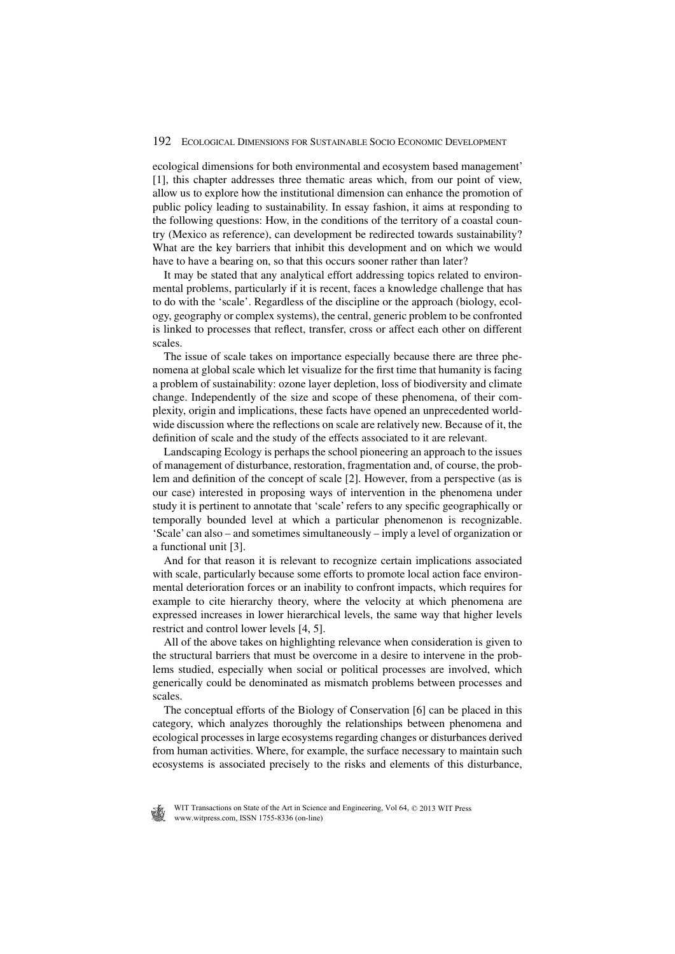ecological dimensions for both environmental and ecosystem based management' [1], this chapter addresses three thematic areas which, from our point of view, allow us to explore how the institutional dimension can enhance the promotion of public policy leading to sustainability. In essay fashion, it aims at responding to the following questions: How, in the conditions of the territory of a coastal country (Mexico as reference), can development be redirected towards sustainability? What are the key barriers that inhibit this development and on which we would have to have a bearing on, so that this occurs sooner rather than later?

It may be stated that any analytical effort addressing topics related to environmental problems, particularly if it is recent, faces a knowledge challenge that has to do with the 'scale'. Regardless of the discipline or the approach (biology, ecology, geography or complex systems), the central, generic problem to be confronted is linked to processes that reflect, transfer, cross or affect each other on different scales.

The issue of scale takes on importance especially because there are three phenomena at global scale which let visualize for the first time that humanity is facing a problem of sustainability: ozone layer depletion, loss of biodiversity and climate change. Independently of the size and scope of these phenomena, of their complexity, origin and implications, these facts have opened an unprecedented worldwide discussion where the reflections on scale are relatively new. Because of it, the definition of scale and the study of the effects associated to it are relevant.

Landscaping Ecology is perhaps the school pioneering an approach to the issues of management of disturbance, restoration, fragmentation and, of course, the problem and definition of the concept of scale [2]. However, from a perspective (as is our case) interested in proposing ways of intervention in the phenomena under study it is pertinent to annotate that 'scale' refers to any specific geographically or temporally bounded level at which a particular phenomenon is recognizable. 'Scale' can also – and sometimes simultaneously – imply a level of organization or a functional unit [3].

And for that reason it is relevant to recognize certain implications associated with scale, particularly because some efforts to promote local action face environmental deterioration forces or an inability to confront impacts, which requires for example to cite hierarchy theory, where the velocity at which phenomena are expressed increases in lower hierarchical levels, the same way that higher levels restrict and control lower levels [4, 5].

All of the above takes on highlighting relevance when consideration is given to the structural barriers that must be overcome in a desire to intervene in the problems studied, especially when social or political processes are involved, which generically could be denominated as mismatch problems between processes and scales.

The conceptual efforts of the Biology of Conservation [6] can be placed in this category, which analyzes thoroughly the relationships between phenomena and ecological processes in large ecosystems regarding changes or disturbances derived from human activities. Where, for example, the surface necessary to maintain such ecosystems is associated precisely to the risks and elements of this disturbance,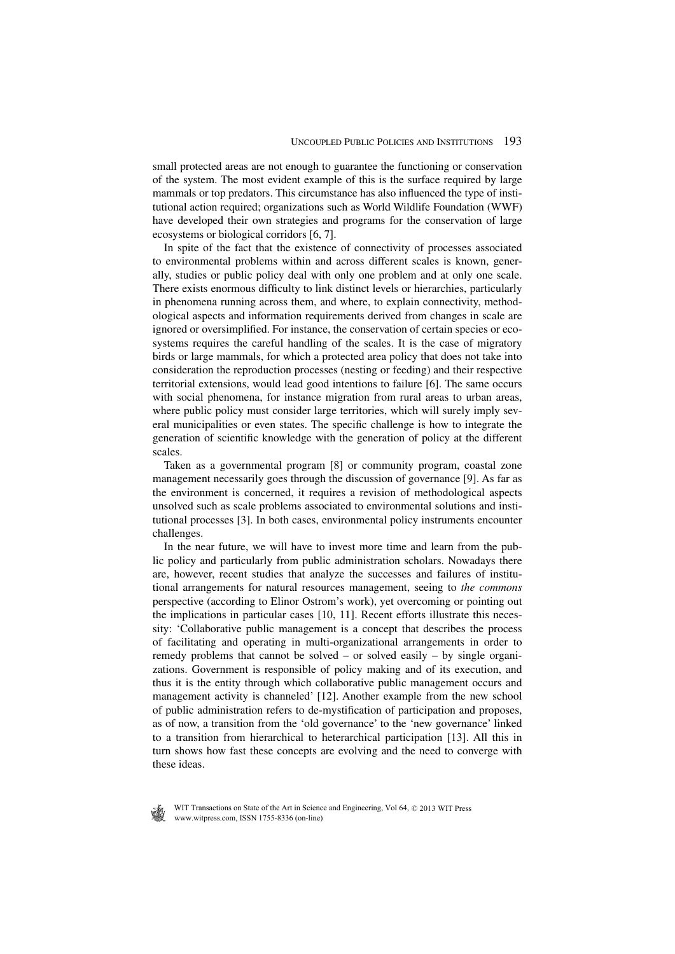small protected areas are not enough to guarantee the functioning or conservation of the system. The most evident example of this is the surface required by large mammals or top predators. This circumstance has also influenced the type of institutional action required; organizations such as World Wildlife Foundation (WWF) have developed their own strategies and programs for the conservation of large ecosystems or biological corridors [6, 7].

In spite of the fact that the existence of connectivity of processes associated to environmental problems within and across different scales is known, generally, studies or public policy deal with only one problem and at only one scale. There exists enormous difficulty to link distinct levels or hierarchies, particularly in phenomena running across them, and where, to explain connectivity, methodological aspects and information requirements derived from changes in scale are ignored or oversimplified. For instance, the conservation of certain species or ecosystems requires the careful handling of the scales. It is the case of migratory birds or large mammals, for which a protected area policy that does not take into consideration the reproduction processes (nesting or feeding) and their respective territorial extensions, would lead good intentions to failure [6]. The same occurs with social phenomena, for instance migration from rural areas to urban areas, where public policy must consider large territories, which will surely imply several municipalities or even states. The specific challenge is how to integrate the generation of scientific knowledge with the generation of policy at the different scales.

Taken as a governmental program [8] or community program, coastal zone management necessarily goes through the discussion of governance [9]. As far as the environment is concerned, it requires a revision of methodological aspects unsolved such as scale problems associated to environmental solutions and institutional processes [3]. In both cases, environmental policy instruments encounter challenges.

In the near future, we will have to invest more time and learn from the public policy and particularly from public administration scholars. Nowadays there are, however, recent studies that analyze the successes and failures of institutional arrangements for natural resources management, seeing to *the commons* perspective (according to Elinor Ostrom's work), yet overcoming or pointing out the implications in particular cases [10, 11]. Recent efforts illustrate this necessity: 'Collaborative public management is a concept that describes the process of facilitating and operating in multi-organizational arrangements in order to remedy problems that cannot be solved – or solved easily – by single organizations. Government is responsible of policy making and of its execution, and thus it is the entity through which collaborative public management occurs and management activity is channeled' [12]. Another example from the new school of public administration refers to de-mystification of participation and proposes, as of now, a transition from the 'old governance' to the 'new governance' linked to a transition from hierarchical to heterarchical participation [13]. All this in turn shows how fast these concepts are evolving and the need to converge with these ideas.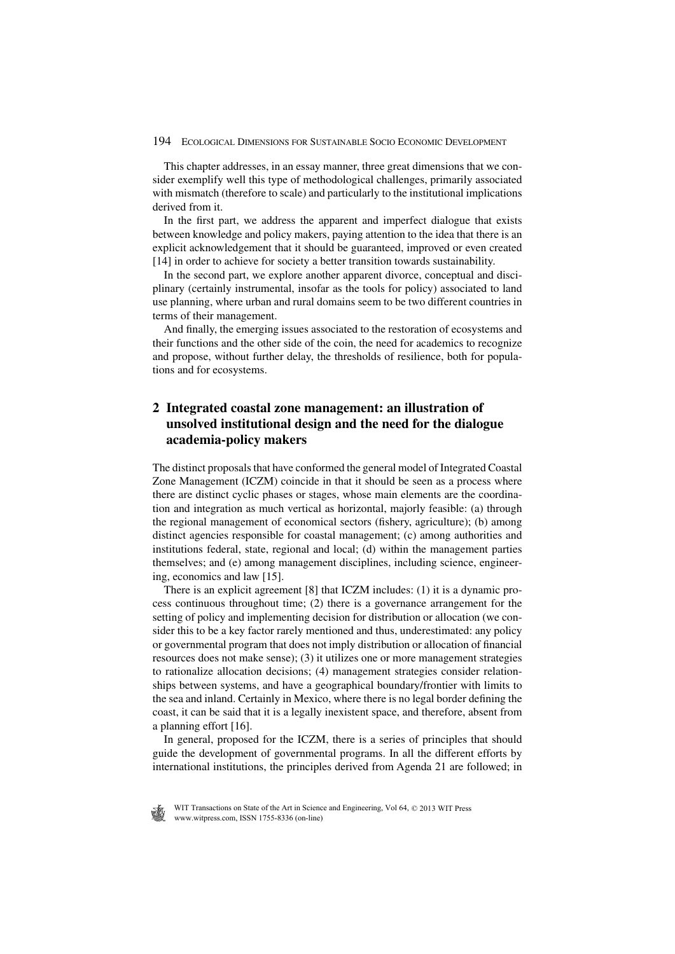This chapter addresses, in an essay manner, three great dimensions that we consider exemplify well this type of methodological challenges, primarily associated with mismatch (therefore to scale) and particularly to the institutional implications derived from it.

In the first part, we address the apparent and imperfect dialogue that exists between knowledge and policy makers, paying attention to the idea that there is an explicit acknowledgement that it should be guaranteed, improved or even created [14] in order to achieve for society a better transition towards sustainability.

In the second part, we explore another apparent divorce, conceptual and disciplinary (certainly instrumental, insofar as the tools for policy) associated to land use planning, where urban and rural domains seem to be two different countries in terms of their management.

And finally, the emerging issues associated to the restoration of ecosystems and their functions and the other side of the coin, the need for academics to recognize and propose, without further delay, the thresholds of resilience, both for populations and for ecosystems.

#### **2 Integrated coastal zone management: an illustration of unsolved institutional design and the need for the dialogue academia-policy makers**

The distinct proposals that have conformed the general model of Integrated Coastal Zone Management (ICZM) coincide in that it should be seen as a process where there are distinct cyclic phases or stages, whose main elements are the coordination and integration as much vertical as horizontal, majorly feasible: (a) through the regional management of economical sectors (fishery, agriculture); (b) among distinct agencies responsible for coastal management; (c) among authorities and institutions federal, state, regional and local; (d) within the management parties themselves; and (e) among management disciplines, including science, engineering, economics and law [15].

There is an explicit agreement [8] that ICZM includes: (1) it is a dynamic process continuous throughout time; (2) there is a governance arrangement for the setting of policy and implementing decision for distribution or allocation (we consider this to be a key factor rarely mentioned and thus, underestimated: any policy or governmental program that does not imply distribution or allocation of financial resources does not make sense); (3) it utilizes one or more management strategies to rationalize allocation decisions; (4) management strategies consider relationships between systems, and have a geographical boundary/frontier with limits to the sea and inland. Certainly in Mexico, where there is no legal border defining the coast, it can be said that it is a legally inexistent space, and therefore, absent from a planning effort [16].

In general, proposed for the ICZM, there is a series of principles that should guide the development of governmental programs. In all the different efforts by international institutions, the principles derived from Agenda 21 are followed; in

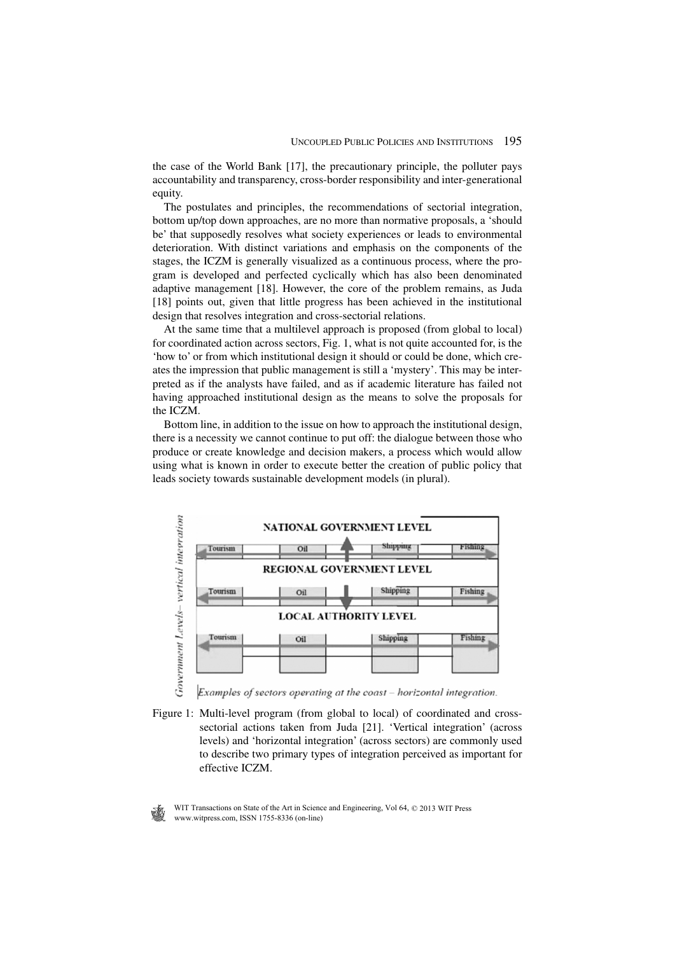the case of the World Bank [17], the precautionary principle, the polluter pays accountability and transparency, cross-border responsibility and inter-generational equity.

The postulates and principles, the recommendations of sectorial integration, bottom up/top down approaches, are no more than normative proposals, a 'should be' that supposedly resolves what society experiences or leads to environmental deterioration. With distinct variations and emphasis on the components of the stages, the ICZM is generally visualized as a continuous process, where the program is developed and perfected cyclically which has also been denominated adaptive management [18]. However, the core of the problem remains, as Juda [18] points out, given that little progress has been achieved in the institutional design that resolves integration and cross-sectorial relations.

At the same time that a multilevel approach is proposed (from global to local) for coordinated action across sectors, Fig. 1, what is not quite accounted for, is the 'how to' or from which institutional design it should or could be done, which creates the impression that public management is still a 'mystery'. This may be interpreted as if the analysts have failed, and as if academic literature has failed not having approached institutional design as the means to solve the proposals for the ICZM.

Bottom line, in addition to the issue on how to approach the institutional design, there is a necessity we cannot continue to put off: the dialogue between those who produce or create knowledge and decision makers, a process which would allow using what is known in order to execute better the creation of public policy that leads society towards sustainable development models (in plural).



Examples of sectors operating at the coast - horizontal integration.

Figure 1: Multi-level program (from global to local) of coordinated and crosssectorial actions taken from Juda [21]. 'Vertical integration' (across levels) and 'horizontal integration' (across sectors) are commonly used to describe two primary types of integration perceived as important for effective ICZM.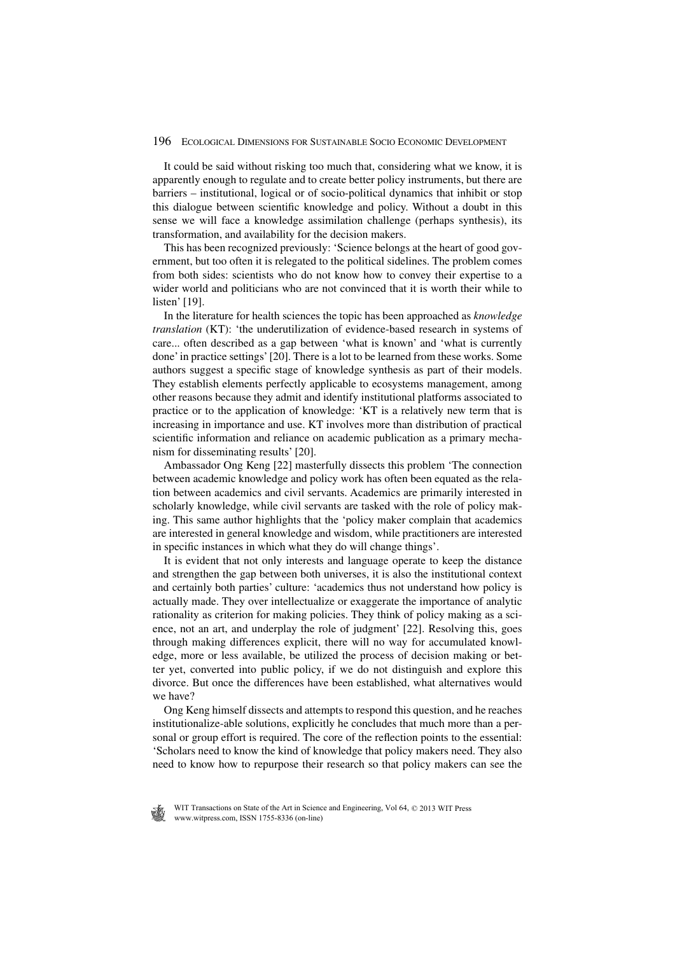It could be said without risking too much that, considering what we know, it is apparently enough to regulate and to create better policy instruments, but there are barriers – institutional, logical or of socio-political dynamics that inhibit or stop this dialogue between scientific knowledge and policy. Without a doubt in this sense we will face a knowledge assimilation challenge (perhaps synthesis), its transformation, and availability for the decision makers.

This has been recognized previously: 'Science belongs at the heart of good government, but too often it is relegated to the political sidelines. The problem comes from both sides: scientists who do not know how to convey their expertise to a wider world and politicians who are not convinced that it is worth their while to listen' [19].

In the literature for health sciences the topic has been approached as *knowledge translation* (KT): 'the underutilization of evidence-based research in systems of care... often described as a gap between 'what is known' and 'what is currently done' in practice settings' [20]. There is a lot to be learned from these works. Some authors suggest a specific stage of knowledge synthesis as part of their models. They establish elements perfectly applicable to ecosystems management, among other reasons because they admit and identify institutional platforms associated to practice or to the application of knowledge: 'KT is a relatively new term that is increasing in importance and use. KT involves more than distribution of practical scientific information and reliance on academic publication as a primary mechanism for disseminating results' [20].

Ambassador Ong Keng [22] masterfully dissects this problem 'The connection between academic knowledge and policy work has often been equated as the relation between academics and civil servants. Academics are primarily interested in scholarly knowledge, while civil servants are tasked with the role of policy making. This same author highlights that the 'policy maker complain that academics are interested in general knowledge and wisdom, while practitioners are interested in specific instances in which what they do will change things'.

It is evident that not only interests and language operate to keep the distance and strengthen the gap between both universes, it is also the institutional context and certainly both parties' culture: 'academics thus not understand how policy is actually made. They over intellectualize or exaggerate the importance of analytic rationality as criterion for making policies. They think of policy making as a science, not an art, and underplay the role of judgment' [22]. Resolving this, goes through making differences explicit, there will no way for accumulated knowledge, more or less available, be utilized the process of decision making or better yet, converted into public policy, if we do not distinguish and explore this divorce. But once the differences have been established, what alternatives would we have?

Ong Keng himself dissects and attempts to respond this question, and he reaches institutionalize-able solutions, explicitly he concludes that much more than a personal or group effort is required. The core of the reflection points to the essential: 'Scholars need to know the kind of knowledge that policy makers need. They also need to know how to repurpose their research so that policy makers can see the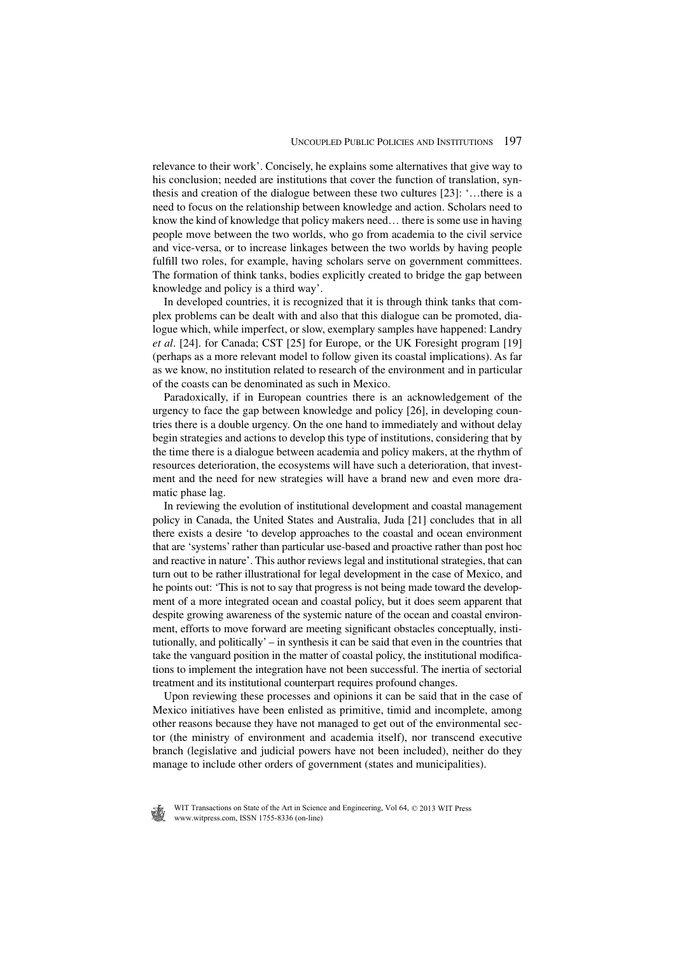relevance to their work'. Concisely, he explains some alternatives that give way to his conclusion; needed are institutions that cover the function of translation, synthesis and creation of the dialogue between these two cultures [23]: '…there is a need to focus on the relationship between knowledge and action. Scholars need to know the kind of knowledge that policy makers need… there is some use in having people move between the two worlds, who go from academia to the civil service and vice-versa, or to increase linkages between the two worlds by having people fulfill two roles, for example, having scholars serve on government committees. The formation of think tanks, bodies explicitly created to bridge the gap between knowledge and policy is a third way'.

In developed countries, it is recognized that it is through think tanks that complex problems can be dealt with and also that this dialogue can be promoted, dialogue which, while imperfect, or slow, exemplary samples have happened: Landry *et al*. [24]. for Canada; CST [25] for Europe, or the UK Foresight program [19] (perhaps as a more relevant model to follow given its coastal implications). As far as we know, no institution related to research of the environment and in particular of the coasts can be denominated as such in Mexico.

Paradoxically, if in European countries there is an acknowledgement of the urgency to face the gap between knowledge and policy [26], in developing countries there is a double urgency. On the one hand to immediately and without delay begin strategies and actions to develop this type of institutions, considering that by the time there is a dialogue between academia and policy makers, at the rhythm of resources deterioration, the ecosystems will have such a deterioration, that investment and the need for new strategies will have a brand new and even more dramatic phase lag.

In reviewing the evolution of institutional development and coastal management policy in Canada, the United States and Australia, Juda [21] concludes that in all there exists a desire 'to develop approaches to the coastal and ocean environment that are 'systems' rather than particular use-based and proactive rather than post hoc and reactive in nature'. This author reviews legal and institutional strategies, that can turn out to be rather illustrational for legal development in the case of Mexico, and he points out: 'This is not to say that progress is not being made toward the development of a more integrated ocean and coastal policy, but it does seem apparent that despite growing awareness of the systemic nature of the ocean and coastal environment, efforts to move forward are meeting significant obstacles conceptually, institutionally, and politically' – in synthesis it can be said that even in the countries that take the vanguard position in the matter of coastal policy, the institutional modifications to implement the integration have not been successful. The inertia of sectorial treatment and its institutional counterpart requires profound changes.

Upon reviewing these processes and opinions it can be said that in the case of Mexico initiatives have been enlisted as primitive, timid and incomplete, among other reasons because they have not managed to get out of the environmental sector (the ministry of environment and academia itself), nor transcend executive branch (legislative and judicial powers have not been included), neither do they manage to include other orders of government (states and municipalities).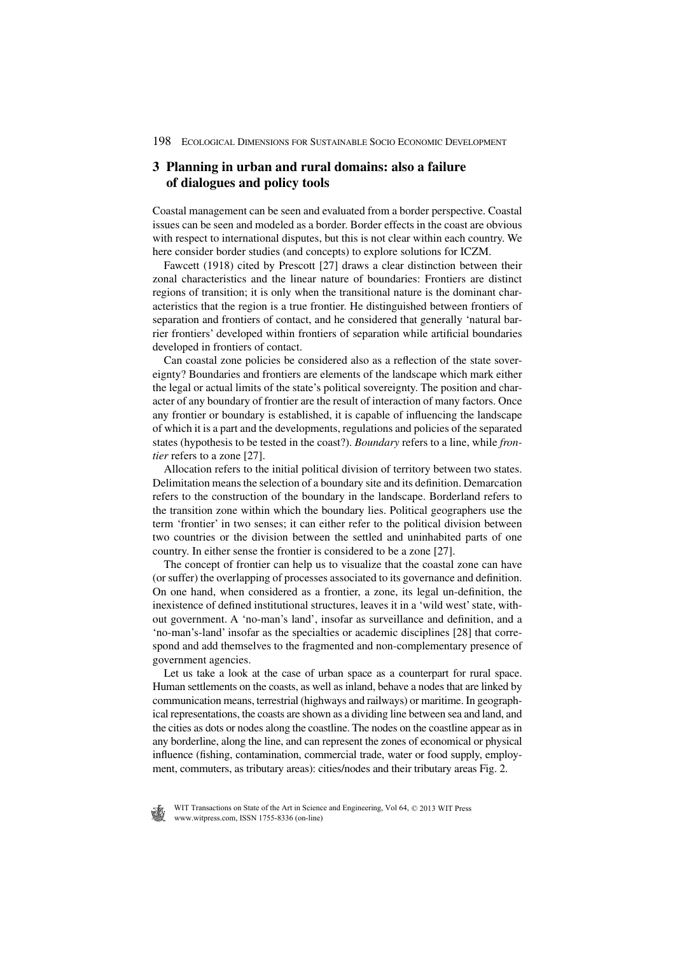#### **3 Planning in urban and rural domains: also a failure of dialogues and policy tools**

Coastal management can be seen and evaluated from a border perspective. Coastal issues can be seen and modeled as a border. Border effects in the coast are obvious with respect to international disputes, but this is not clear within each country. We here consider border studies (and concepts) to explore solutions for ICZM.

Fawcett (1918) cited by Prescott [27] draws a clear distinction between their zonal characteristics and the linear nature of boundaries: Frontiers are distinct regions of transition; it is only when the transitional nature is the dominant characteristics that the region is a true frontier. He distinguished between frontiers of separation and frontiers of contact, and he considered that generally 'natural barrier frontiers' developed within frontiers of separation while artificial boundaries developed in frontiers of contact.

Can coastal zone policies be considered also as a reflection of the state sovereignty? Boundaries and frontiers are elements of the landscape which mark either the legal or actual limits of the state's political sovereignty. The position and character of any boundary of frontier are the result of interaction of many factors. Once any frontier or boundary is established, it is capable of influencing the landscape of which it is a part and the developments, regulations and policies of the separated states (hypothesis to be tested in the coast?). *Boundary* refers to a line, while *frontier* refers to a zone [27].

Allocation refers to the initial political division of territory between two states. Delimitation means the selection of a boundary site and its definition. Demarcation refers to the construction of the boundary in the landscape. Borderland refers to the transition zone within which the boundary lies. Political geographers use the term 'frontier' in two senses; it can either refer to the political division between two countries or the division between the settled and uninhabited parts of one country. In either sense the frontier is considered to be a zone [27].

The concept of frontier can help us to visualize that the coastal zone can have (or suffer) the overlapping of processes associated to its governance and definition. On one hand, when considered as a frontier, a zone, its legal un-definition, the inexistence of defined institutional structures, leaves it in a 'wild west' state, without government. A 'no-man's land', insofar as surveillance and definition, and a 'no-man's-land' insofar as the specialties or academic disciplines [28] that correspond and add themselves to the fragmented and non-complementary presence of government agencies.

Let us take a look at the case of urban space as a counterpart for rural space. Human settlements on the coasts, as well as inland, behave a nodes that are linked by communication means, terrestrial (highways and railways) or maritime. In geographical representations, the coasts are shown as a dividing line between sea and land, and the cities as dots or nodes along the coastline. The nodes on the coastline appear as in any borderline, along the line, and can represent the zones of economical or physical influence (fishing, contamination, commercial trade, water or food supply, employment, commuters, as tributary areas): cities/nodes and their tributary areas Fig. 2.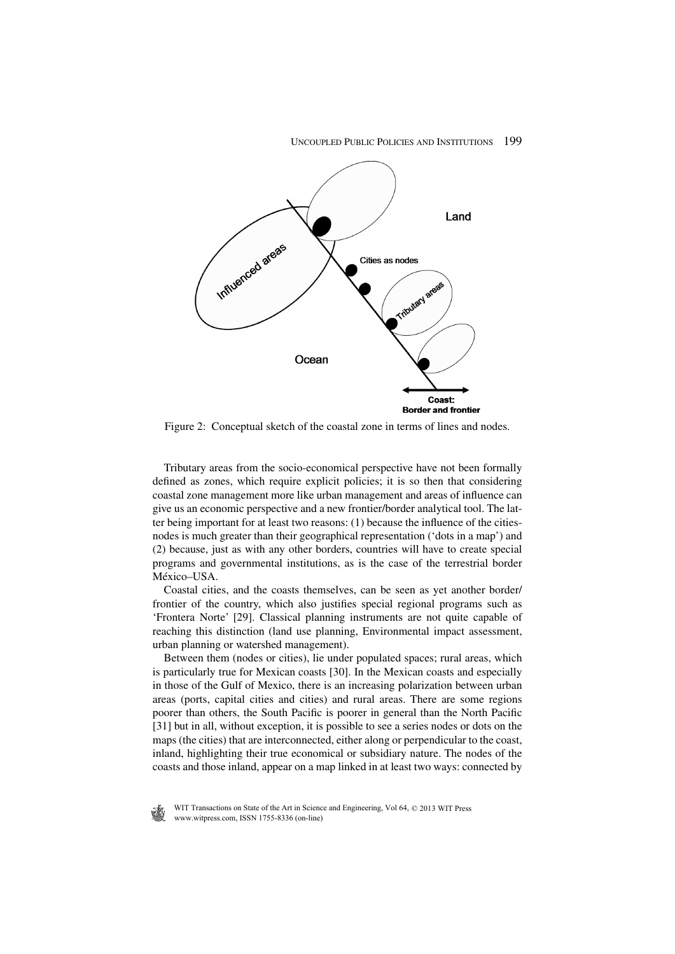

Figure 2: Conceptual sketch of the coastal zone in terms of lines and nodes.

Tributary areas from the socio-economical perspective have not been formally defined as zones, which require explicit policies; it is so then that considering coastal zone management more like urban management and areas of influence can give us an economic perspective and a new frontier/border analytical tool. The latter being important for at least two reasons:  $(1)$  because the influence of the citiesnodes is much greater than their geographical representation ('dots in a map') and (2) because, just as with any other borders, countries will have to create special programs and governmental institutions, as is the case of the terrestrial border México–USA.

Coastal cities, and the coasts themselves, can be seen as yet another border/ frontier of the country, which also justifies special regional programs such as 'Frontera Norte' [29]. Classical planning instruments are not quite capable of reaching this distinction (land use planning, Environmental impact assessment, urban planning or watershed management).

Between them (nodes or cities), lie under populated spaces; rural areas, which is particularly true for Mexican coasts [30]. In the Mexican coasts and especially in those of the Gulf of Mexico, there is an increasing polarization between urban areas (ports, capital cities and cities) and rural areas. There are some regions poorer than others, the South Pacific is poorer in general than the North Pacific [31] but in all, without exception, it is possible to see a series nodes or dots on the maps (the cities) that are interconnected, either along or perpendicular to the coast, inland, highlighting their true economical or subsidiary nature. The nodes of the coasts and those inland, appear on a map linked in at least two ways: connected by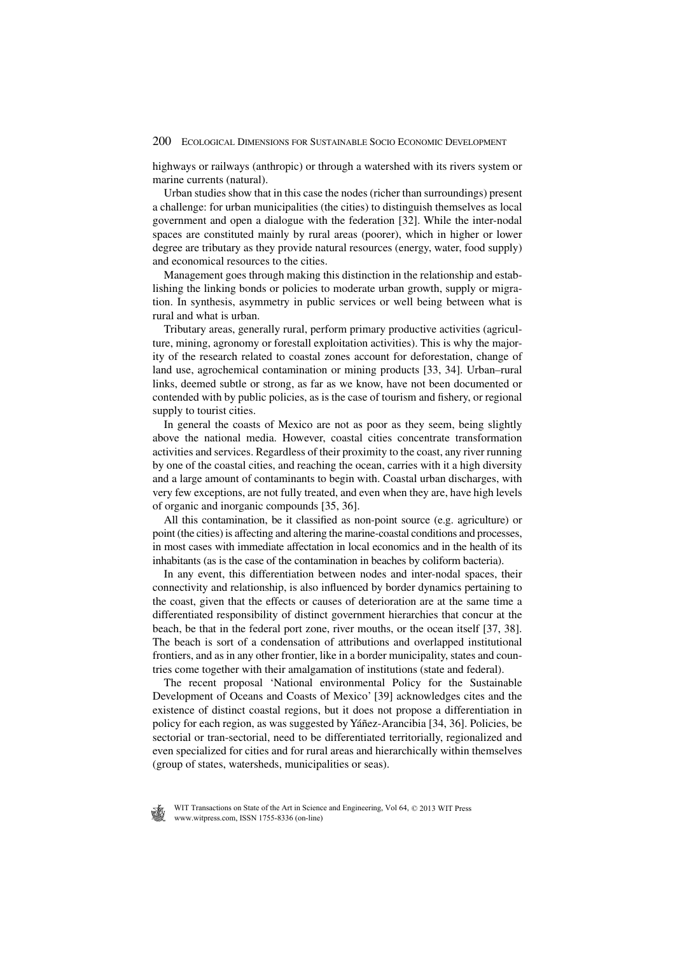highways or railways (anthropic) or through a watershed with its rivers system or marine currents (natural).

Urban studies show that in this case the nodes (richer than surroundings) present a challenge: for urban municipalities (the cities) to distinguish themselves as local government and open a dialogue with the federation [32]. While the inter-nodal spaces are constituted mainly by rural areas (poorer), which in higher or lower degree are tributary as they provide natural resources (energy, water, food supply) and economical resources to the cities.

Management goes through making this distinction in the relationship and establishing the linking bonds or policies to moderate urban growth, supply or migration. In synthesis, asymmetry in public services or well being between what is rural and what is urban.

Tributary areas, generally rural, perform primary productive activities (agriculture, mining, agronomy or forestall exploitation activities). This is why the majority of the research related to coastal zones account for deforestation, change of land use, agrochemical contamination or mining products [33, 34]. Urban–rural links, deemed subtle or strong, as far as we know, have not been documented or contended with by public policies, as is the case of tourism and fishery, or regional supply to tourist cities.

In general the coasts of Mexico are not as poor as they seem, being slightly above the national media. However, coastal cities concentrate transformation activities and services. Regardless of their proximity to the coast, any river running by one of the coastal cities, and reaching the ocean, carries with it a high diversity and a large amount of contaminants to begin with. Coastal urban discharges, with very few exceptions, are not fully treated, and even when they are, have high levels of organic and inorganic compounds [35, 36].

All this contamination, be it classified as non-point source (e.g. agriculture) or point (the cities) is affecting and altering the marine-coastal conditions and processes, in most cases with immediate affectation in local economics and in the health of its inhabitants (as is the case of the contamination in beaches by coliform bacteria).

In any event, this differentiation between nodes and inter-nodal spaces, their connectivity and relationship, is also influenced by border dynamics pertaining to the coast, given that the effects or causes of deterioration are at the same time a differentiated responsibility of distinct government hierarchies that concur at the beach, be that in the federal port zone, river mouths, or the ocean itself [37, 38]. The beach is sort of a condensation of attributions and overlapped institutional frontiers, and as in any other frontier, like in a border municipality, states and countries come together with their amalgamation of institutions (state and federal).

The recent proposal 'National environmental Policy for the Sustainable Development of Oceans and Coasts of Mexico' [39] acknowledges cites and the existence of distinct coastal regions, but it does not propose a differentiation in policy for each region, as was suggested by Yáñez-Arancibia [34, 36]. Policies, be sectorial or tran-sectorial, need to be differentiated territorially, regionalized and even specialized for cities and for rural areas and hierarchically within themselves (group of states, watersheds, municipalities or seas).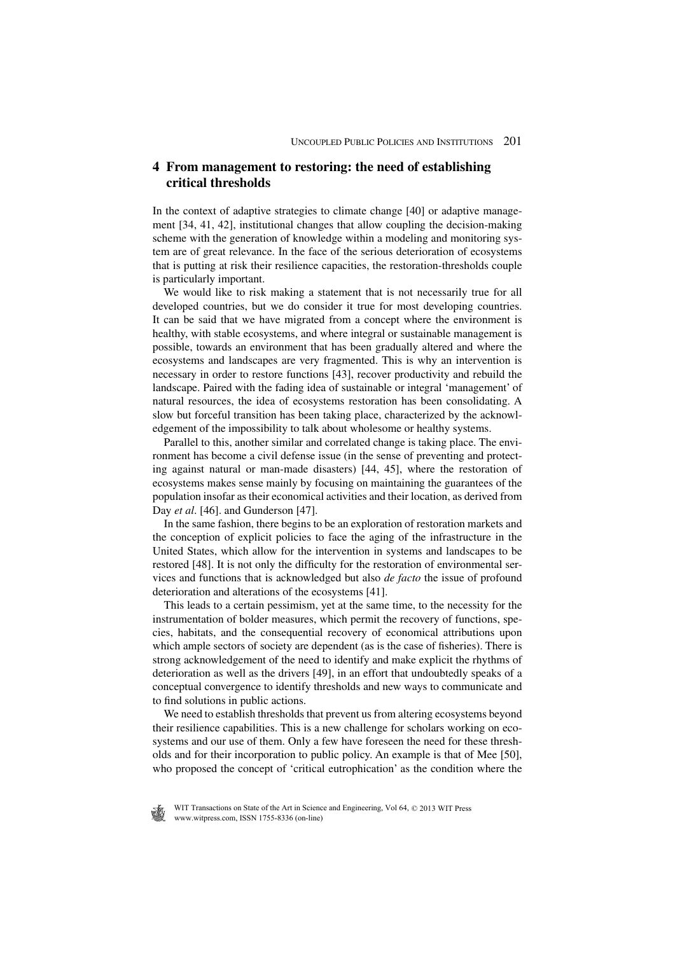#### **4 From management to restoring: the need of establishing critical thresholds**

In the context of adaptive strategies to climate change [40] or adaptive management [34, 41, 42], institutional changes that allow coupling the decision-making scheme with the generation of knowledge within a modeling and monitoring system are of great relevance. In the face of the serious deterioration of ecosystems that is putting at risk their resilience capacities, the restoration-thresholds couple is particularly important.

We would like to risk making a statement that is not necessarily true for all developed countries, but we do consider it true for most developing countries. It can be said that we have migrated from a concept where the environment is healthy, with stable ecosystems, and where integral or sustainable management is possible, towards an environment that has been gradually altered and where the ecosystems and landscapes are very fragmented. This is why an intervention is necessary in order to restore functions [43], recover productivity and rebuild the landscape. Paired with the fading idea of sustainable or integral 'management' of natural resources, the idea of ecosystems restoration has been consolidating. A slow but forceful transition has been taking place, characterized by the acknowledgement of the impossibility to talk about wholesome or healthy systems.

Parallel to this, another similar and correlated change is taking place. The environment has become a civil defense issue (in the sense of preventing and protecting against natural or man-made disasters) [44, 45], where the restoration of ecosystems makes sense mainly by focusing on maintaining the guarantees of the population insofar as their economical activities and their location, as derived from Day *et al.* [46]. and Gunderson [47].

In the same fashion, there begins to be an exploration of restoration markets and the conception of explicit policies to face the aging of the infrastructure in the United States, which allow for the intervention in systems and landscapes to be restored [48]. It is not only the difficulty for the restoration of environmental services and functions that is acknowledged but also *de facto* the issue of profound deterioration and alterations of the ecosystems [41].

This leads to a certain pessimism, yet at the same time, to the necessity for the instrumentation of bolder measures, which permit the recovery of functions, species, habitats, and the consequential recovery of economical attributions upon which ample sectors of society are dependent (as is the case of fisheries). There is strong acknowledgement of the need to identify and make explicit the rhythms of deterioration as well as the drivers [49], in an effort that undoubtedly speaks of a conceptual convergence to identify thresholds and new ways to communicate and to find solutions in public actions.

We need to establish thresholds that prevent us from altering ecosystems beyond their resilience capabilities. This is a new challenge for scholars working on ecosystems and our use of them. Only a few have foreseen the need for these thresholds and for their incorporation to public policy. An example is that of Mee [50], who proposed the concept of 'critical eutrophication' as the condition where the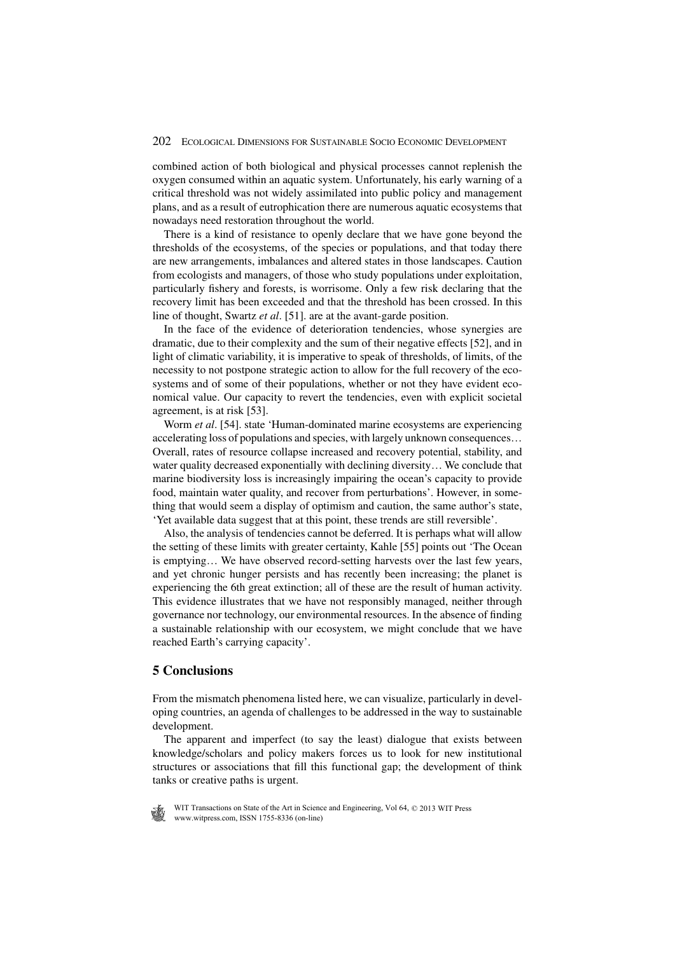combined action of both biological and physical processes cannot replenish the oxygen consumed within an aquatic system. Unfortunately, his early warning of a critical threshold was not widely assimilated into public policy and management plans, and as a result of eutrophication there are numerous aquatic ecosystems that nowadays need restoration throughout the world.

There is a kind of resistance to openly declare that we have gone beyond the thresholds of the ecosystems, of the species or populations, and that today there are new arrangements, imbalances and altered states in those landscapes. Caution from ecologists and managers, of those who study populations under exploitation, particularly fishery and forests, is worrisome. Only a few risk declaring that the recovery limit has been exceeded and that the threshold has been crossed. In this line of thought, Swartz *et al*. [51]. are at the avant-garde position.

In the face of the evidence of deterioration tendencies, whose synergies are dramatic, due to their complexity and the sum of their negative effects [52], and in light of climatic variability, it is imperative to speak of thresholds, of limits, of the necessity to not postpone strategic action to allow for the full recovery of the ecosystems and of some of their populations, whether or not they have evident economical value. Our capacity to revert the tendencies, even with explicit societal agreement, is at risk [53].

Worm *et al*. [54]. state 'Human-dominated marine ecosystems are experiencing accelerating loss of populations and species, with largely unknown consequences… Overall, rates of resource collapse increased and recovery potential, stability, and water quality decreased exponentially with declining diversity… We conclude that marine biodiversity loss is increasingly impairing the ocean's capacity to provide food, maintain water quality, and recover from perturbations'. However, in something that would seem a display of optimism and caution, the same author's state, 'Yet available data suggest that at this point, these trends are still reversible'.

Also, the analysis of tendencies cannot be deferred. It is perhaps what will allow the setting of these limits with greater certainty, Kahle [55] points out 'The Ocean is emptying… We have observed record-setting harvests over the last few years, and yet chronic hunger persists and has recently been increasing; the planet is experiencing the 6th great extinction; all of these are the result of human activity. This evidence illustrates that we have not responsibly managed, neither through governance nor technology, our environmental resources. In the absence of finding a sustainable relationship with our ecosystem, we might conclude that we have reached Earth's carrying capacity'.

#### **5 Conclusions**

From the mismatch phenomena listed here, we can visualize, particularly in developing countries, an agenda of challenges to be addressed in the way to sustainable development.

The apparent and imperfect (to say the least) dialogue that exists between knowledge/scholars and policy makers forces us to look for new institutional structures or associations that fill this functional gap; the development of think tanks or creative paths is urgent.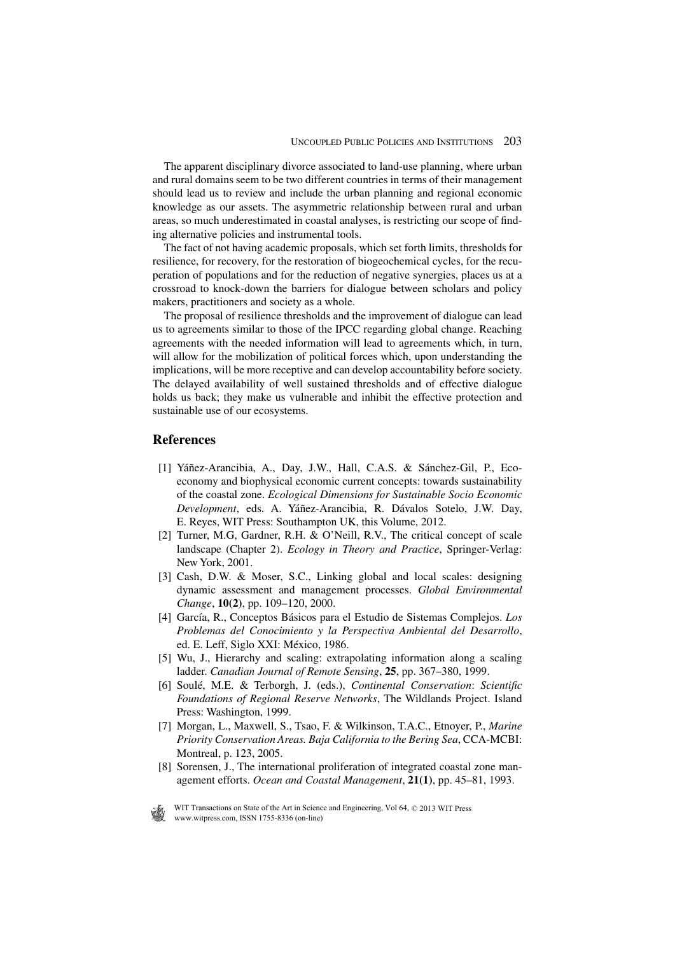The apparent disciplinary divorce associated to land-use planning, where urban and rural domains seem to be two different countries in terms of their management should lead us to review and include the urban planning and regional economic knowledge as our assets. The asymmetric relationship between rural and urban areas, so much underestimated in coastal analyses, is restricting our scope of finding alternative policies and instrumental tools.

The fact of not having academic proposals, which set forth limits, thresholds for resilience, for recovery, for the restoration of biogeochemical cycles, for the recuperation of populations and for the reduction of negative synergies, places us at a crossroad to knock-down the barriers for dialogue between scholars and policy makers, practitioners and society as a whole.

The proposal of resilience thresholds and the improvement of dialogue can lead us to agreements similar to those of the IPCC regarding global change. Reaching agreements with the needed information will lead to agreements which, in turn, will allow for the mobilization of political forces which, upon understanding the implications, will be more receptive and can develop accountability before society. The delayed availability of well sustained thresholds and of effective dialogue holds us back; they make us vulnerable and inhibit the effective protection and sustainable use of our ecosystems.

#### **References**

- [1] Yáñez-Arancibia, A., Day, J.W., Hall, C.A.S. & Sánchez-Gil, P., Ecoeconomy and biophysical economic current concepts: towards sustainability of the coastal zone. *Ecological Dimensions for Sustainable Socio Economic Development*, eds. A. Yáñez-Arancibia, R. Dávalos Sotelo, J.W. Day, E. Reyes, WIT Press: Southampton UK, this Volume, 2012.
- [2] Turner, M.G, Gardner, R.H. & O'Neill, R.V., The critical concept of scale landscape (Chapter 2). *Ecology in Theory and Practice*, Springer-Verlag: New York, 2001.
- [3] Cash, D.W. & Moser, S.C., Linking global and local scales: designing dynamic assessment and management processes. *Global Environmental Change*, **10(2)**, pp. 109–120, 2000.
- [4] García, R., Conceptos Básicos para el Estudio de Sistemas Complejos. *Los Problemas del Conocimiento y la Perspectiva Ambiental del Desarrollo*, ed. E. Leff, Siglo XXI: México, 1986.
- [5] Wu, J., Hierarchy and scaling: extrapolating information along a scaling ladder. *Canadian Journal of Remote Sensing*, **25**, pp. 367–380, 1999.
- [6] Soulé, M.E. & Terborgh, J. (eds.), *Continental Conservation*: *Scientific Foundations of Regional Reserve Networks*, The Wildlands Project. Island Press: Washington, 1999.
- [7] Morgan, L., Maxwell, S., Tsao, F. & Wilkinson, T.A.C., Etnoyer, P., *Marine Priority Conservation Areas. Baja California to the Bering Sea*, CCA-MCBI: Montreal, p. 123, 2005.
- [8] Sorensen, J., The international proliferation of integrated coastal zone management efforts. *Ocean and Coastal Management*, **21(1)**, pp. 45–81, 1993.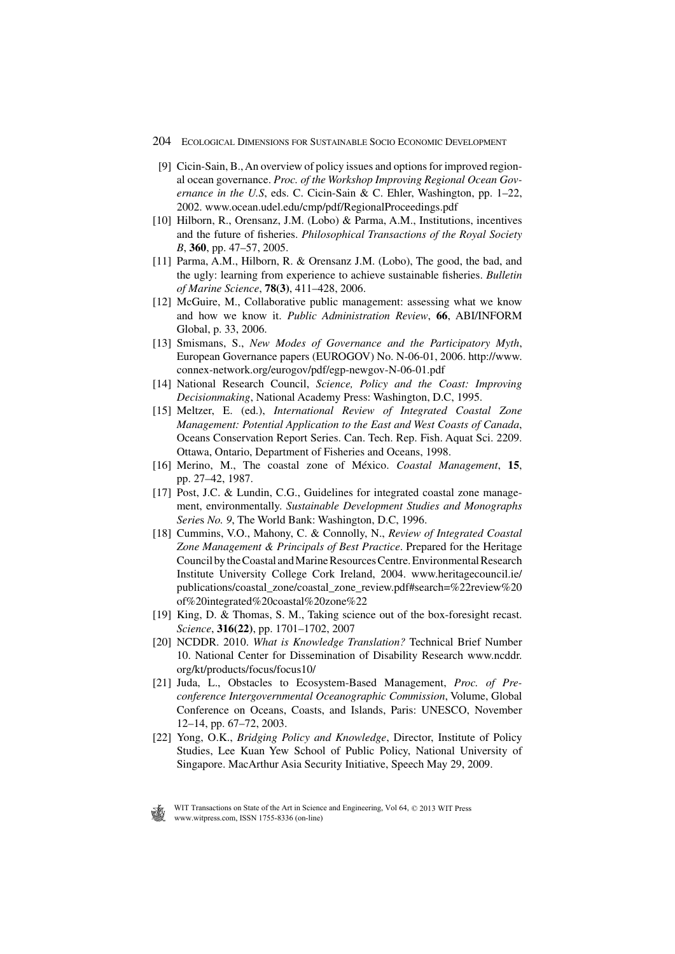- [9] Cicin-Sain, B., An overview of policy issues and options for improved regional ocean governance. *Proc. of the Workshop Improving Regional Ocean Governance in the U.S*, eds. C. Cicin-Sain & C. Ehler, Washington, pp. 1–22, 2002. www.ocean.udel.edu/cmp/pdf/RegionalProceedings.pdf
- [10] Hilborn, R., Orensanz, J.M. (Lobo) & Parma, A.M., Institutions, incentives and the future of fisheries. *Philosophical Transactions of the Royal Society B*, **360**, pp. 47–57, 2005.
- [11] Parma, A.M., Hilborn, R. & Orensanz J.M. (Lobo), The good, the bad, and the ugly: learning from experience to achieve sustainable fisheries. *Bulletin of Marine Science*, **78(3)**, 411–428, 2006.
- [12] McGuire, M., Collaborative public management: assessing what we know and how we know it. *Public Administration Review*, **66**, ABI/INFORM Global, p. 33, 2006.
- [13] Smismans, S., *New Modes of Governance and the Participatory Myth*, European Governance papers (EUROGOV) No. N-06-01, 2006. http://www. connex-network.org/eurogov/pdf/egp-newgov-N-06-01.pdf
- [14] National Research Council, *Science, Policy and the Coast: Improving Decisionmaking*, National Academy Press: Washington, D.C, 1995.
- [15] Meltzer, E. (ed.), *International Review of Integrated Coastal Zone Management: Potential Application to the East and West Coasts of Canada*, Oceans Conservation Report Series. Can. Tech. Rep. Fish. Aquat Sci. 2209. Ottawa, Ontario, Department of Fisheries and Oceans, 1998.
- [16] Merino, M., The coastal zone of México. *Coastal Management*, **15**, pp. 27–42, 1987.
- [17] Post, J.C. & Lundin, C.G., Guidelines for integrated coastal zone management, environmentally. *Sustainable Development Studies and Monographs Serie*s *No. 9*, The World Bank: Washington, D.C, 1996.
- [18] Cummins, V.O., Mahony, C. & Connolly, N., *Review of Integrated Coastal Zone Management & Principals of Best Practice*. Prepared for the Heritage Council by the Coastal and Marine Resources Centre. Environmental Research Institute University College Cork Ireland, 2004. www.heritagecouncil.ie/ publications/coastal\_zone/coastal\_zone\_review.pdf#search=%22review%20 of%20integrated%20coastal%20zone%22
- [19] King, D. & Thomas, S. M., Taking science out of the box-foresight recast. *Science*, **316(22)**, pp. 1701–1702, 2007
- [20] NCDDR. 2010. *What is Knowledge Translation?* Technical Brief Number 10. National Center for Dissemination of Disability Research www.ncddr. org/kt/products/focus/focus10/
- [21] Juda, L., Obstacles to Ecosystem-Based Management, *Proc. of Preconference Intergovernmental Oceanographic Commission*, Volume, Global Conference on Oceans, Coasts, and Islands, Paris: UNESCO, November 12–14, pp. 67–72, 2003.
- [22] Yong, O.K., *Bridging Policy and Knowledge*, Director, Institute of Policy Studies, Lee Kuan Yew School of Public Policy, National University of Singapore. MacArthur Asia Security Initiative, Speech May 29, 2009.

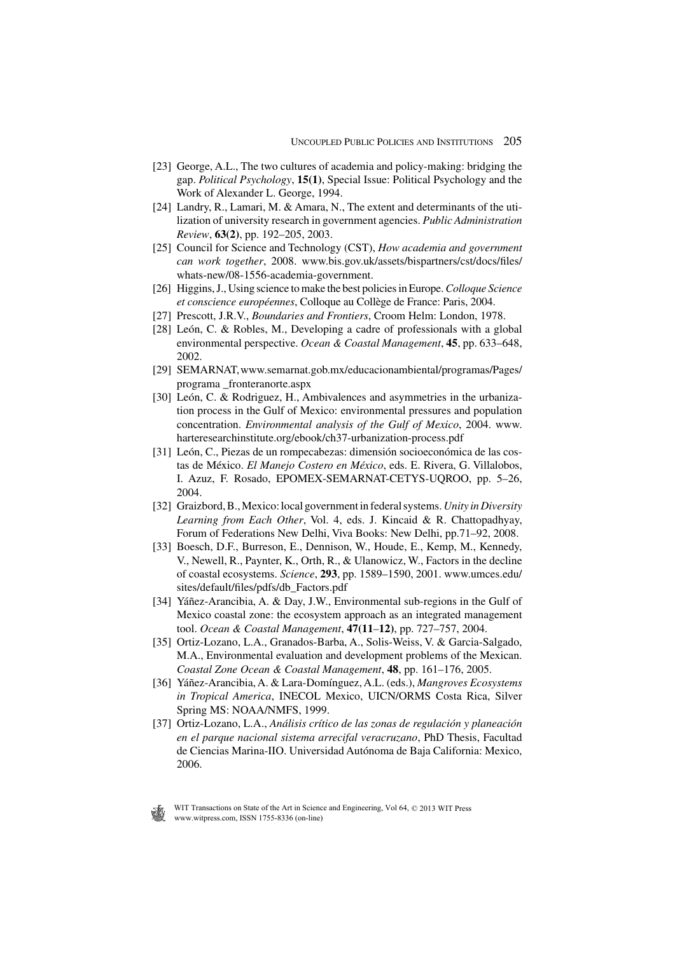- [23] George, A.L., The two cultures of academia and policy-making: bridging the gap. *Political Psychology*, **15(1)**, Special Issue: Political Psychology and the Work of Alexander L. George, 1994.
- [24] Landry, R., Lamari, M. & Amara, N., The extent and determinants of the utilization of university research in government agencies. *Public Administration Review*, **63(2)**, pp. 192–205, 2003.
- [25] Council for Science and Technology (CST), *How academia and government can work together*, 2008. www.bis.gov.uk/assets/bispartners/cst/docs/files/ whats-new/08-1556-academia-government.
- [26] Higgins, J., Using science to make the best policies in Europe. *Colloque Science et conscience européennes*, Colloque au Collège de France: Paris, 2004.
- [27] Prescott, J.R.V., *Boundaries and Frontiers*, Croom Helm: London, 1978.
- [28] León, C. & Robles, M., Developing a cadre of professionals with a global environmental perspective. *Ocean & Coastal Management*, **45**, pp. 633–648, 2002.
- [29] SEMARNAT, www.semarnat.gob.mx/educacionambiental/programas/Pages/ programa \_fronteranorte.aspx
- [30] León, C. & Rodriguez, H., Ambivalences and asymmetries in the urbanization process in the Gulf of Mexico: environmental pressures and population concentration. *Environmental analysis of the Gulf of Mexico*, 2004. www. harteresearchinstitute.org/ebook/ch37-urbanization-process.pdf
- [31] León, C., Piezas de un rompecabezas: dimensión socioeconómica de las costas de México. *El Manejo Costero en México*, eds. E. Rivera, G. Villalobos, I. Azuz, F. Rosado, EPOMEX-SEMARNAT-CETYS-UQROO, pp. 5–26, 2004.
- [32] Graizbord, B., Mexico: local government in federal systems. *Unity in Diversity Learning from Each Other*, Vol. 4, eds. J. Kincaid & R. Chattopadhyay, Forum of Federations New Delhi, Viva Books: New Delhi, pp.71–92, 2008.
- [33] Boesch, D.F., Burreson, E., Dennison, W., Houde, E., Kemp, M., Kennedy, V., Newell, R., Paynter, K., Orth, R., & Ulanowicz, W., Factors in the decline of coastal ecosystems. *Science*, **293**, pp. 1589–1590, 2001. www.umces.edu/ sites/default/files/pdfs/db\_Factors.pdf
- [34] Yáñez-Arancibia, A. & Day, J.W., Environmental sub-regions in the Gulf of Mexico coastal zone: the ecosystem approach as an integrated management tool. *Ocean & Coastal Management*, **47(11**–**12)**, pp. 727–757, 2004.
- [35] Ortiz-Lozano, L.A., Granados-Barba, A., Solis-Weiss, V. & Garcia-Salgado, M.A., Environmental evaluation and development problems of the Mexican. *Coastal Zone Ocean & Coastal Management*, **48**, pp. 161–176, 2005.
- [36] Yáñez-Arancibia, A. & Lara-Domínguez, A.L. (eds.), *Mangroves Ecosystems in Tropical America*, INECOL Mexico, UICN/ORMS Costa Rica, Silver Spring MS: NOAA/NMFS, 1999.
- [37] Ortiz-Lozano, L.A., *Análisis crítico de las zonas de regulación y planeación en el parque nacional sistema arrecifal veracruzano*, PhD Thesis, Facultad de Ciencias Marina-IIO. Universidad Autónoma de Baja California: Mexico, 2006.

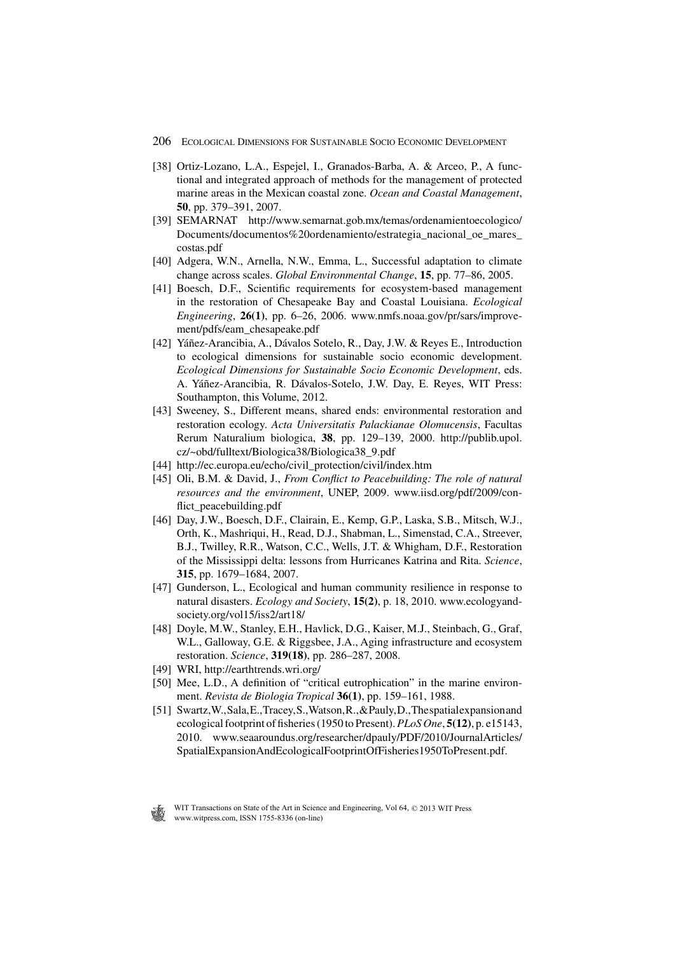- [38] Ortiz-Lozano, L.A., Espejel, I., Granados-Barba, A. & Arceo, P., A functional and integrated approach of methods for the management of protected marine areas in the Mexican coastal zone. *Ocean and Coastal Management*, **50**, pp. 379–391, 2007.
- [39] SEMARNAT http://www.semarnat.gob.mx/temas/ordenamientoecologico/ Documents/documentos%20ordenamiento/estrategia\_nacional\_oe\_mares\_ costas.pdf
- [40] Adgera, W.N., Arnella, N.W., Emma, L., Successful adaptation to climate change across scales. *Global Environmental Change*, **15**, pp. 77–86, 2005.
- [41] Boesch, D.F., Scientific requirements for ecosystem-based management in the restoration of Chesapeake Bay and Coastal Louisiana. *Ecological Engineering*, **26(1)**, pp. 6–26, 2006. www.nmfs.noaa.gov/pr/sars/improvement/pdfs/eam\_chesapeake.pdf
- [42] Yáñez-Arancibia, A., Dávalos Sotelo, R., Day, J.W. & Reyes E., Introduction to ecological dimensions for sustainable socio economic development. *Ecological Dimensions for Sustainable Socio Economic Development*, eds. A. Yáñez-Arancibia, R. Dávalos-Sotelo, J.W. Day, E. Reyes, WIT Press: Southampton, this Volume, 2012.
- [43] Sweeney, S., Different means, shared ends: environmental restoration and restoration ecology. *Acta Universitatis Palackianae Olomucensis*, Facultas Rerum Naturalium biologica, **38**, pp. 129–139, 2000. http://publib.upol. cz/~obd/fulltext/Biologica38/Biologica38\_9.pdf
- [44] http://ec.europa.eu/echo/civil\_protection/civil/index.htm
- [45] Oli, B.M. & David, J., *From Conflict to Peacebuilding: The role of natural resources and the environment*, UNEP, 2009. www.iisd.org/pdf/2009/conflict\_peacebuilding.pdf
- [46] Day, J.W., Boesch, D.F., Clairain, E., Kemp, G.P., Laska, S.B., Mitsch, W.J., Orth, K., Mashriqui, H., Read, D.J., Shabman, L., Simenstad, C.A., Streever, B.J., Twilley, R.R., Watson, C.C., Wells, J.T. & Whigham, D.F., Restoration of the Mississippi delta: lessons from Hurricanes Katrina and Rita. *Science*, **315**, pp. 1679–1684, 2007.
- [47] Gunderson, L., Ecological and human community resilience in response to natural disasters. *Ecology and Society*, **15(2)**, p. 18, 2010. www.ecologyandsociety.org/vol15/iss2/art18/
- [48] Doyle, M.W., Stanley, E.H., Havlick, D.G., Kaiser, M.J., Steinbach, G., Graf, W.L., Galloway, G.E. & Riggsbee, J.A., Aging infrastructure and ecosystem restoration. *Science*, **319(18)**, pp. 286–287, 2008.
- [49] WRI, http://earthtrends.wri.org/
- [50] Mee, L.D., A definition of "critical eutrophication" in the marine environment. *Revista de Biologia Tropical* **36(1)**, pp. 159–161, 1988.
- [51] Swartz, W., Sala, E., Tracey, S., Watson, R., & Pauly, D., The spatial expansion and ecological footprint of fisheries (1950 to Present). *PLoS One*, **5(12)**, p. e15143, 2010. www.seaaroundus.org/researcher/dpauly/PDF/2010/JournalArticles/ SpatialExpansionAndEcologicalFootprintOfFisheries1950ToPresent.pdf.